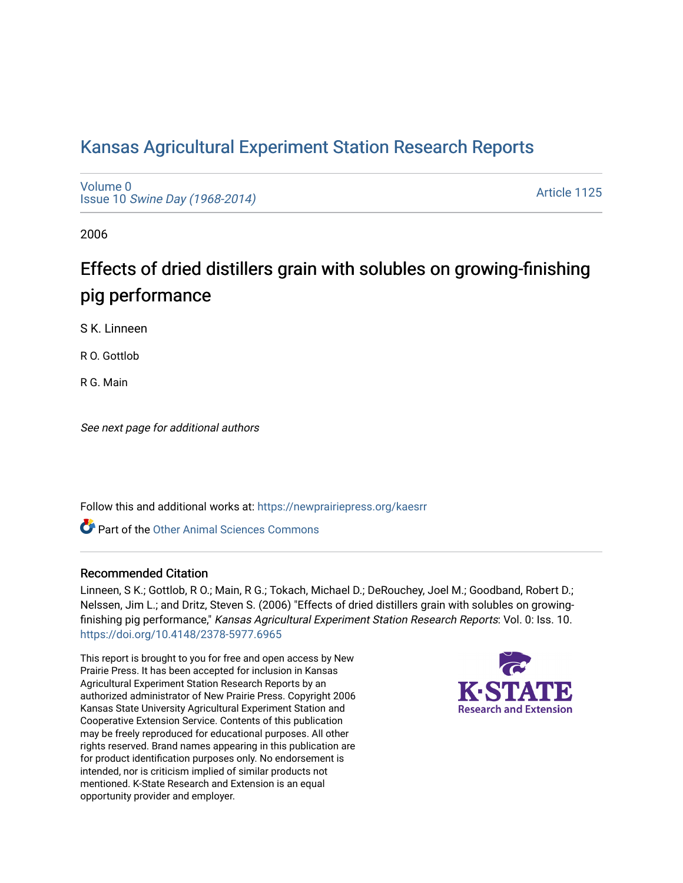# [Kansas Agricultural Experiment Station Research Reports](https://newprairiepress.org/kaesrr)

[Volume 0](https://newprairiepress.org/kaesrr/vol0) Issue 10 [Swine Day \(1968-2014\)](https://newprairiepress.org/kaesrr/vol0/iss10)

[Article 1125](https://newprairiepress.org/kaesrr/vol0/iss10/1125) 

2006

# Effects of dried distillers grain with solubles on growing-finishing pig performance

S K. Linneen

R O. Gottlob

R G. Main

See next page for additional authors

Follow this and additional works at: [https://newprairiepress.org/kaesrr](https://newprairiepress.org/kaesrr?utm_source=newprairiepress.org%2Fkaesrr%2Fvol0%2Fiss10%2F1125&utm_medium=PDF&utm_campaign=PDFCoverPages) 

Part of the [Other Animal Sciences Commons](http://network.bepress.com/hgg/discipline/82?utm_source=newprairiepress.org%2Fkaesrr%2Fvol0%2Fiss10%2F1125&utm_medium=PDF&utm_campaign=PDFCoverPages)

#### Recommended Citation

Linneen, S K.; Gottlob, R O.; Main, R G.; Tokach, Michael D.; DeRouchey, Joel M.; Goodband, Robert D.; Nelssen, Jim L.; and Dritz, Steven S. (2006) "Effects of dried distillers grain with solubles on growingfinishing pig performance," Kansas Agricultural Experiment Station Research Reports: Vol. 0: Iss. 10. <https://doi.org/10.4148/2378-5977.6965>

This report is brought to you for free and open access by New Prairie Press. It has been accepted for inclusion in Kansas Agricultural Experiment Station Research Reports by an authorized administrator of New Prairie Press. Copyright 2006 Kansas State University Agricultural Experiment Station and Cooperative Extension Service. Contents of this publication may be freely reproduced for educational purposes. All other rights reserved. Brand names appearing in this publication are for product identification purposes only. No endorsement is intended, nor is criticism implied of similar products not mentioned. K-State Research and Extension is an equal opportunity provider and employer.

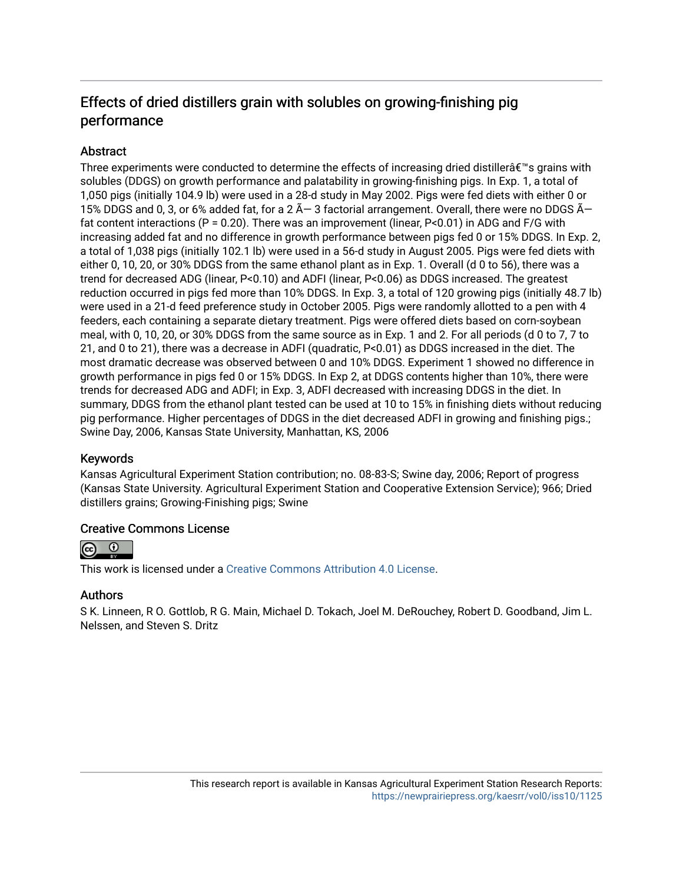## Effects of dried distillers grain with solubles on growing-finishing pig performance

## Abstract

Three experiments were conducted to determine the effects of increasing dried distiller $\hat{a} \in \mathbb{N}$ s grains with solubles (DDGS) on growth performance and palatability in growing-finishing pigs. In Exp. 1, a total of 1,050 pigs (initially 104.9 lb) were used in a 28-d study in May 2002. Pigs were fed diets with either 0 or 15% DDGS and 0, 3, or 6% added fat, for a 2  $\tilde{A}-3$  factorial arrangement. Overall, there were no DDGS  $\tilde{A}$ fat content interactions (P = 0.20). There was an improvement (linear, P<0.01) in ADG and F/G with increasing added fat and no difference in growth performance between pigs fed 0 or 15% DDGS. In Exp. 2, a total of 1,038 pigs (initially 102.1 lb) were used in a 56-d study in August 2005. Pigs were fed diets with either 0, 10, 20, or 30% DDGS from the same ethanol plant as in Exp. 1. Overall (d 0 to 56), there was a trend for decreased ADG (linear, P<0.10) and ADFI (linear, P<0.06) as DDGS increased. The greatest reduction occurred in pigs fed more than 10% DDGS. In Exp. 3, a total of 120 growing pigs (initially 48.7 lb) were used in a 21-d feed preference study in October 2005. Pigs were randomly allotted to a pen with 4 feeders, each containing a separate dietary treatment. Pigs were offered diets based on corn-soybean meal, with 0, 10, 20, or 30% DDGS from the same source as in Exp. 1 and 2. For all periods (d 0 to 7, 7 to 21, and 0 to 21), there was a decrease in ADFI (quadratic, P<0.01) as DDGS increased in the diet. The most dramatic decrease was observed between 0 and 10% DDGS. Experiment 1 showed no difference in growth performance in pigs fed 0 or 15% DDGS. In Exp 2, at DDGS contents higher than 10%, there were trends for decreased ADG and ADFI; in Exp. 3, ADFI decreased with increasing DDGS in the diet. In summary, DDGS from the ethanol plant tested can be used at 10 to 15% in finishing diets without reducing pig performance. Higher percentages of DDGS in the diet decreased ADFI in growing and finishing pigs.; Swine Day, 2006, Kansas State University, Manhattan, KS, 2006

#### Keywords

Kansas Agricultural Experiment Station contribution; no. 08-83-S; Swine day, 2006; Report of progress (Kansas State University. Agricultural Experiment Station and Cooperative Extension Service); 966; Dried distillers grains; Growing-Finishing pigs; Swine

#### Creative Commons License



This work is licensed under a [Creative Commons Attribution 4.0 License](https://creativecommons.org/licenses/by/4.0/).

#### Authors

S K. Linneen, R O. Gottlob, R G. Main, Michael D. Tokach, Joel M. DeRouchey, Robert D. Goodband, Jim L. Nelssen, and Steven S. Dritz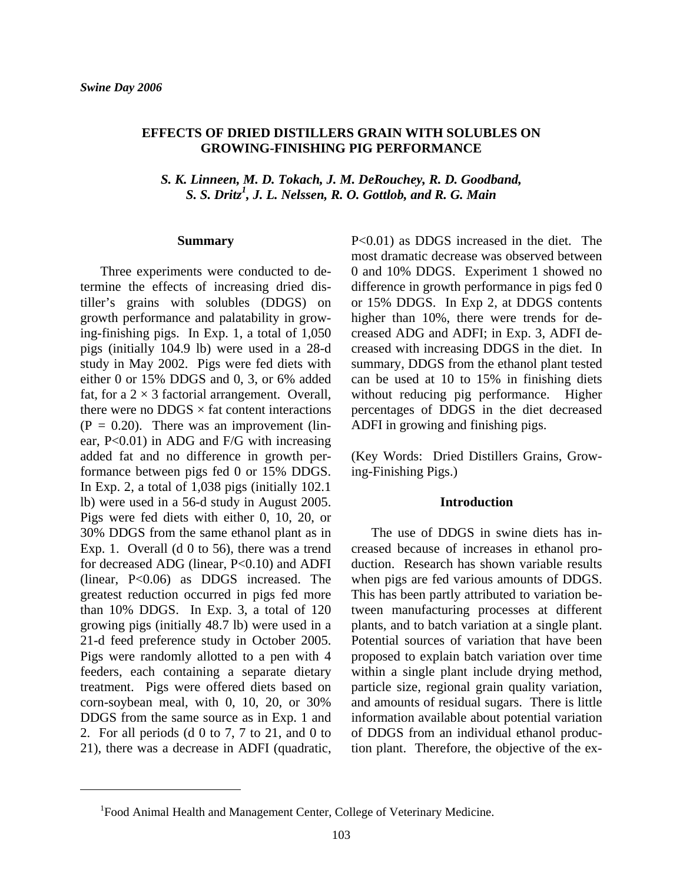#### **EFFECTS OF DRIED DISTILLERS GRAIN WITH SOLUBLES ON GROWING-FINISHING PIG PERFORMANCE**

*S. K. Linneen, M. D. Tokach, J. M. DeRouchey, R. D. Goodband, S. S. Dritz1 , J. L. Nelssen, R. O. Gottlob, and R. G. Main* 

#### **Summary**

Three experiments were conducted to determine the effects of increasing dried distiller's grains with solubles (DDGS) on growth performance and palatability in growing-finishing pigs. In Exp. 1, a total of 1,050 pigs (initially 104.9 lb) were used in a 28-d study in May 2002. Pigs were fed diets with either 0 or 15% DDGS and 0, 3, or 6% added fat, for a  $2 \times 3$  factorial arrangement. Overall, there were no  $DDGS \times$  fat content interactions  $(P = 0.20)$ . There was an improvement (linear, P<0.01) in ADG and F/G with increasing added fat and no difference in growth performance between pigs fed 0 or 15% DDGS. In Exp. 2, a total of 1,038 pigs (initially 102.1 lb) were used in a 56-d study in August 2005. Pigs were fed diets with either 0, 10, 20, or 30% DDGS from the same ethanol plant as in Exp. 1. Overall (d 0 to 56), there was a trend for decreased ADG (linear, P<0.10) and ADFI (linear, P<0.06) as DDGS increased. The greatest reduction occurred in pigs fed more than 10% DDGS. In Exp. 3, a total of 120 growing pigs (initially 48.7 lb) were used in a 21-d feed preference study in October 2005. Pigs were randomly allotted to a pen with 4 feeders, each containing a separate dietary treatment. Pigs were offered diets based on corn-soybean meal, with 0, 10, 20, or 30% DDGS from the same source as in Exp. 1 and 2. For all periods (d 0 to 7, 7 to 21, and 0 to 21), there was a decrease in ADFI (quadratic,

P<0.01) as DDGS increased in the diet. The most dramatic decrease was observed between 0 and 10% DDGS. Experiment 1 showed no difference in growth performance in pigs fed 0 or 15% DDGS. In Exp 2, at DDGS contents higher than 10%, there were trends for decreased ADG and ADFI; in Exp. 3, ADFI decreased with increasing DDGS in the diet. In summary, DDGS from the ethanol plant tested can be used at 10 to 15% in finishing diets without reducing pig performance. Higher percentages of DDGS in the diet decreased ADFI in growing and finishing pigs.

(Key Words: Dried Distillers Grains, Growing-Finishing Pigs.)

#### **Introduction**

The use of DDGS in swine diets has increased because of increases in ethanol production. Research has shown variable results when pigs are fed various amounts of DDGS. This has been partly attributed to variation between manufacturing processes at different plants, and to batch variation at a single plant. Potential sources of variation that have been proposed to explain batch variation over time within a single plant include drying method, particle size, regional grain quality variation, and amounts of residual sugars. There is little information available about potential variation of DDGS from an individual ethanol production plant. Therefore, the objective of the ex-

 <sup>1</sup>Food Animal Health and Management Center, College of Veterinary Medicine.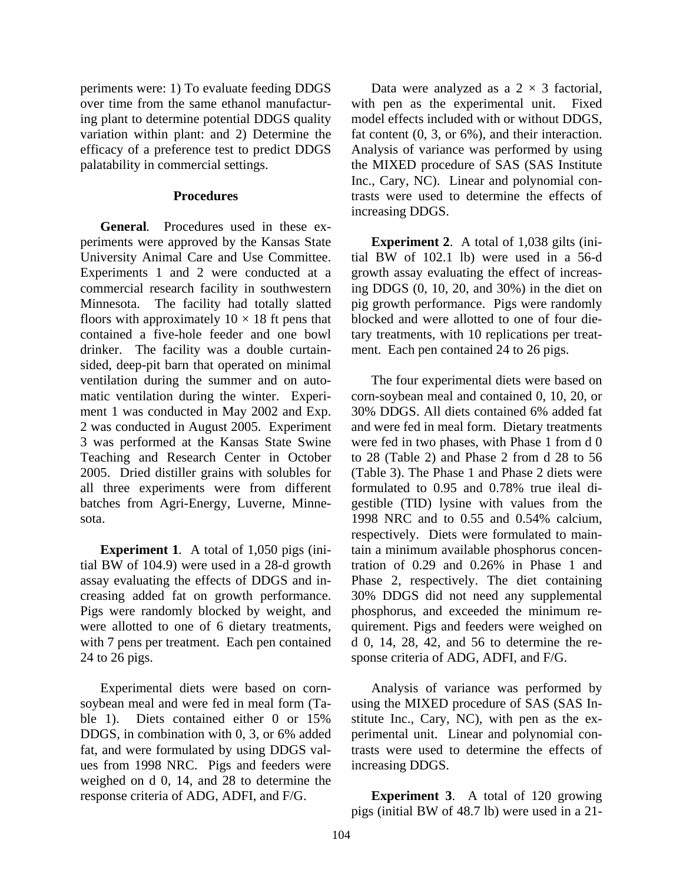periments were: 1) To evaluate feeding DDGS over time from the same ethanol manufacturing plant to determine potential DDGS quality variation within plant: and 2) Determine the efficacy of a preference test to predict DDGS palatability in commercial settings.

#### **Procedures**

**General***.* Procedures used in these experiments were approved by the Kansas State University Animal Care and Use Committee. Experiments 1 and 2 were conducted at a commercial research facility in southwestern Minnesota. The facility had totally slatted floors with approximately  $10 \times 18$  ft pens that contained a five-hole feeder and one bowl drinker. The facility was a double curtainsided, deep-pit barn that operated on minimal ventilation during the summer and on automatic ventilation during the winter. Experiment 1 was conducted in May 2002 and Exp. 2 was conducted in August 2005. Experiment 3 was performed at the Kansas State Swine Teaching and Research Center in October 2005. Dried distiller grains with solubles for all three experiments were from different batches from Agri-Energy, Luverne, Minnesota.

**Experiment 1***.* A total of 1,050 pigs (initial BW of 104.9) were used in a 28-d growth assay evaluating the effects of DDGS and increasing added fat on growth performance. Pigs were randomly blocked by weight, and were allotted to one of 6 dietary treatments, with 7 pens per treatment. Each pen contained 24 to 26 pigs.

 Experimental diets were based on cornsoybean meal and were fed in meal form (Table 1). Diets contained either 0 or 15% DDGS, in combination with 0, 3, or 6% added fat, and were formulated by using DDGS values from 1998 NRC. Pigs and feeders were weighed on d 0, 14, and 28 to determine the response criteria of ADG, ADFI, and F/G.

Data were analyzed as a  $2 \times 3$  factorial, with pen as the experimental unit. Fixed model effects included with or without DDGS, fat content (0, 3, or 6%), and their interaction. Analysis of variance was performed by using the MIXED procedure of SAS (SAS Institute Inc., Cary, NC). Linear and polynomial contrasts were used to determine the effects of increasing DDGS.

**Experiment 2**. A total of 1,038 gilts (initial BW of 102.1 lb) were used in a 56-d growth assay evaluating the effect of increasing DDGS (0, 10, 20, and 30%) in the diet on pig growth performance. Pigs were randomly blocked and were allotted to one of four dietary treatments, with 10 replications per treatment. Each pen contained 24 to 26 pigs.

 The four experimental diets were based on corn-soybean meal and contained 0, 10, 20, or 30% DDGS. All diets contained 6% added fat and were fed in meal form. Dietary treatments were fed in two phases, with Phase 1 from d 0 to 28 (Table 2) and Phase 2 from d 28 to 56 (Table 3). The Phase 1 and Phase 2 diets were formulated to 0.95 and 0.78% true ileal digestible (TID) lysine with values from the 1998 NRC and to 0.55 and 0.54% calcium, respectively. Diets were formulated to maintain a minimum available phosphorus concentration of 0.29 and 0.26% in Phase 1 and Phase 2, respectively. The diet containing 30% DDGS did not need any supplemental phosphorus, and exceeded the minimum requirement. Pigs and feeders were weighed on d 0, 14, 28, 42, and 56 to determine the response criteria of ADG, ADFI, and F/G.

 Analysis of variance was performed by using the MIXED procedure of SAS (SAS Institute Inc., Cary, NC), with pen as the experimental unit. Linear and polynomial contrasts were used to determine the effects of increasing DDGS.

**Experiment 3**. A total of 120 growing pigs (initial BW of 48.7 lb) were used in a 21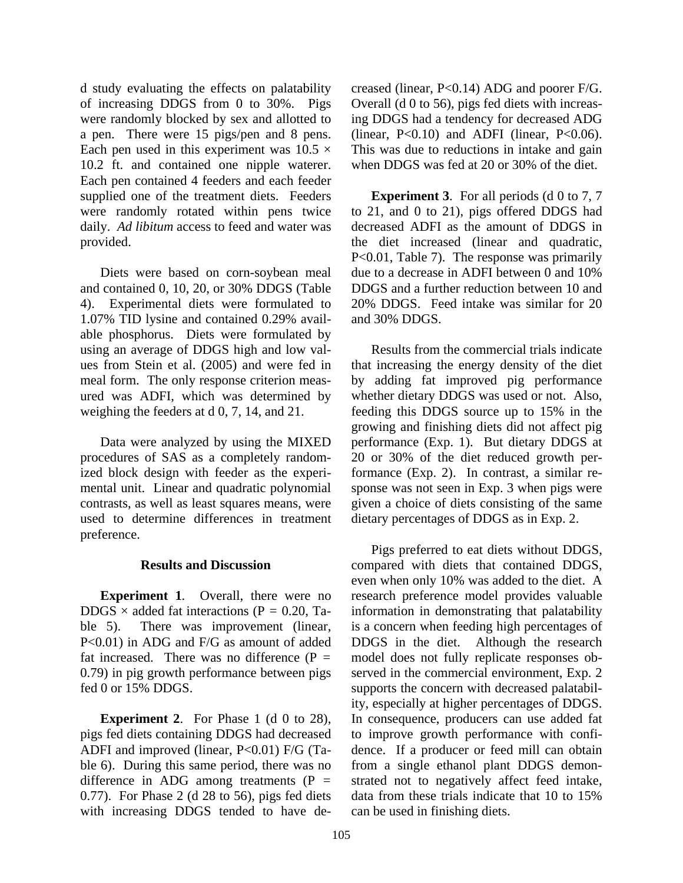d study evaluating the effects on palatability of increasing DDGS from 0 to 30%. Pigs were randomly blocked by sex and allotted to a pen. There were 15 pigs/pen and 8 pens. Each pen used in this experiment was  $10.5 \times$ 10.2 ft. and contained one nipple waterer. Each pen contained 4 feeders and each feeder supplied one of the treatment diets. Feeders were randomly rotated within pens twice daily. *Ad libitum* access to feed and water was provided.

 Diets were based on corn-soybean meal and contained 0, 10, 20, or 30% DDGS (Table 4). Experimental diets were formulated to 1.07% TID lysine and contained 0.29% available phosphorus. Diets were formulated by using an average of DDGS high and low values from Stein et al. (2005) and were fed in meal form. The only response criterion measured was ADFI, which was determined by weighing the feeders at d 0, 7, 14, and 21.

Data were analyzed by using the MIXED procedures of SAS as a completely randomized block design with feeder as the experimental unit. Linear and quadratic polynomial contrasts, as well as least squares means, were used to determine differences in treatment preference.

#### **Results and Discussion**

**Experiment 1***.* Overall, there were no DDGS  $\times$  added fat interactions (P = 0.20, Table 5). There was improvement (linear, P<0.01) in ADG and F/G as amount of added fat increased. There was no difference (P *=* 0.79) in pig growth performance between pigs fed 0 or 15% DDGS.

**Experiment 2.** For Phase 1 (d 0 to 28), pigs fed diets containing DDGS had decreased ADFI and improved (linear, P<0.01) F/G (Table 6). During this same period, there was no difference in ADG among treatments (P *=* 0.77). For Phase 2 (d 28 to 56), pigs fed diets with increasing DDGS tended to have decreased (linear, P<0.14) ADG and poorer F/G. Overall (d 0 to 56), pigs fed diets with increasing DDGS had a tendency for decreased ADG (linear,  $P<0.10$ ) and ADFI (linear,  $P<0.06$ ). This was due to reductions in intake and gain when DDGS was fed at 20 or 30% of the diet.

**Experiment 3.** For all periods (d 0 to 7, 7) to 21, and 0 to 21), pigs offered DDGS had decreased ADFI as the amount of DDGS in the diet increased (linear and quadratic, P<0.01, Table 7). The response was primarily due to a decrease in ADFI between 0 and 10% DDGS and a further reduction between 10 and 20% DDGS. Feed intake was similar for 20 and 30% DDGS.

Results from the commercial trials indicate that increasing the energy density of the diet by adding fat improved pig performance whether dietary DDGS was used or not. Also, feeding this DDGS source up to 15% in the growing and finishing diets did not affect pig performance (Exp. 1). But dietary DDGS at 20 or 30% of the diet reduced growth performance (Exp. 2). In contrast, a similar response was not seen in Exp. 3 when pigs were given a choice of diets consisting of the same dietary percentages of DDGS as in Exp. 2.

 Pigs preferred to eat diets without DDGS, compared with diets that contained DDGS, even when only 10% was added to the diet. A research preference model provides valuable information in demonstrating that palatability is a concern when feeding high percentages of DDGS in the diet. Although the research model does not fully replicate responses observed in the commercial environment, Exp. 2 supports the concern with decreased palatability, especially at higher percentages of DDGS. In consequence, producers can use added fat to improve growth performance with confidence. If a producer or feed mill can obtain from a single ethanol plant DDGS demonstrated not to negatively affect feed intake, data from these trials indicate that 10 to 15% can be used in finishing diets.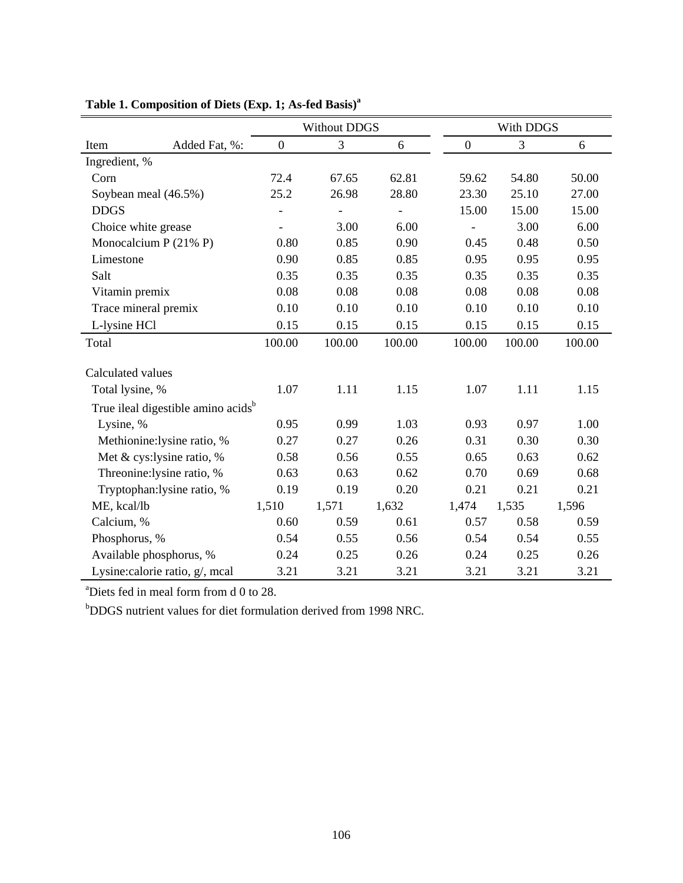|                                                |               |                  | <b>Without DDGS</b>      |        |                  | With DDGS |        |
|------------------------------------------------|---------------|------------------|--------------------------|--------|------------------|-----------|--------|
| Item                                           | Added Fat, %: | $\boldsymbol{0}$ | 3                        | 6      | $\boldsymbol{0}$ | 3         | 6      |
| Ingredient, %                                  |               |                  |                          |        |                  |           |        |
| Corn                                           |               | 72.4             | 67.65                    | 62.81  | 59.62            | 54.80     | 50.00  |
| Soybean meal (46.5%)                           |               | 25.2             | 26.98                    | 28.80  | 23.30            | 25.10     | 27.00  |
| <b>DDGS</b>                                    |               |                  | $\overline{\phantom{0}}$ |        | 15.00            | 15.00     | 15.00  |
| Choice white grease                            |               |                  | 3.00                     | 6.00   |                  | 3.00      | 6.00   |
| Monocalcium P $(21\%$ P)                       |               | 0.80             | 0.85                     | 0.90   | 0.45             | 0.48      | 0.50   |
| Limestone                                      |               | 0.90             | 0.85                     | 0.85   | 0.95             | 0.95      | 0.95   |
| Salt                                           |               | 0.35             | 0.35                     | 0.35   | 0.35             | 0.35      | 0.35   |
| Vitamin premix                                 |               | 0.08             | 0.08                     | 0.08   | 0.08             | 0.08      | 0.08   |
| Trace mineral premix                           |               | 0.10             | 0.10                     | 0.10   | 0.10             | 0.10      | 0.10   |
| L-lysine HCl                                   |               | 0.15             | 0.15                     | 0.15   | 0.15             | 0.15      | 0.15   |
| Total                                          |               | 100.00           | 100.00                   | 100.00 | 100.00           | 100.00    | 100.00 |
| Calculated values                              |               |                  |                          |        |                  |           |        |
| Total lysine, %                                |               | 1.07             | 1.11                     | 1.15   | 1.07             | 1.11      | 1.15   |
| True ileal digestible amino acids <sup>b</sup> |               |                  |                          |        |                  |           |        |
| Lysine, %                                      |               | 0.95             | 0.99                     | 1.03   | 0.93             | 0.97      | 1.00   |
| Methionine: lysine ratio, %                    |               | 0.27             | 0.27                     | 0.26   | 0.31             | 0.30      | 0.30   |
| Met & cys:lysine ratio, %                      |               | 0.58             | 0.56                     | 0.55   | 0.65             | 0.63      | 0.62   |
| Threonine:lysine ratio, %                      |               | 0.63             | 0.63                     | 0.62   | 0.70             | 0.69      | 0.68   |
| Tryptophan: lysine ratio, %                    |               | 0.19             | 0.19                     | 0.20   | 0.21             | 0.21      | 0.21   |
| ME, kcal/lb                                    |               | 1,510            | 1,571                    | 1,632  | 1,474            | 1,535     | 1,596  |
| Calcium, %                                     |               | 0.60             | 0.59                     | 0.61   | 0.57             | 0.58      | 0.59   |
| Phosphorus, %                                  |               | 0.54             | 0.55                     | 0.56   | 0.54             | 0.54      | 0.55   |
| Available phosphorus, %                        |               | 0.24             | 0.25                     | 0.26   | 0.24             | 0.25      | 0.26   |
| Lysine: calorie ratio, g/, mcal                |               | 3.21             | 3.21                     | 3.21   | 3.21             | 3.21      | 3.21   |

## **Table 1. Composition of Diets (Exp. 1; As-fed Basis)<sup>a</sup>**

a Diets fed in meal form from d 0 to 28.

b DDGS nutrient values for diet formulation derived from 1998 NRC.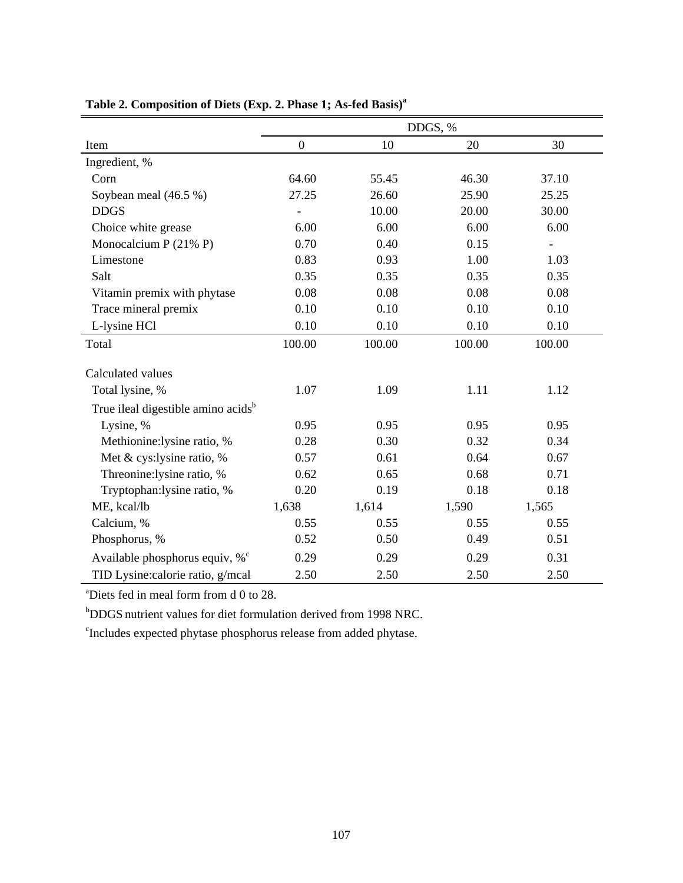|                                                | DDGS, %          |        |        |        |  |  |  |
|------------------------------------------------|------------------|--------|--------|--------|--|--|--|
| Item                                           | $\boldsymbol{0}$ | 10     | 20     | 30     |  |  |  |
| Ingredient, %                                  |                  |        |        |        |  |  |  |
| Corn                                           | 64.60            | 55.45  | 46.30  | 37.10  |  |  |  |
| Soybean meal (46.5 %)                          | 27.25            | 26.60  | 25.90  | 25.25  |  |  |  |
| <b>DDGS</b>                                    |                  | 10.00  | 20.00  | 30.00  |  |  |  |
| Choice white grease                            | 6.00             | 6.00   | 6.00   | 6.00   |  |  |  |
| Monocalcium P $(21\% P)$                       | 0.70             | 0.40   | 0.15   |        |  |  |  |
| Limestone                                      | 0.83             | 0.93   | 1.00   | 1.03   |  |  |  |
| Salt                                           | 0.35             | 0.35   | 0.35   | 0.35   |  |  |  |
| Vitamin premix with phytase                    | 0.08             | 0.08   | 0.08   | 0.08   |  |  |  |
| Trace mineral premix                           | 0.10             | 0.10   | 0.10   | 0.10   |  |  |  |
| L-lysine HCl                                   | 0.10             | 0.10   | 0.10   | 0.10   |  |  |  |
| Total                                          | 100.00           | 100.00 | 100.00 | 100.00 |  |  |  |
| Calculated values                              |                  |        |        |        |  |  |  |
| Total lysine, %                                | 1.07             | 1.09   | 1.11   | 1.12   |  |  |  |
| True ileal digestible amino acids <sup>b</sup> |                  |        |        |        |  |  |  |
| Lysine, %                                      | 0.95             | 0.95   | 0.95   | 0.95   |  |  |  |
| Methionine:lysine ratio, %                     | 0.28             | 0.30   | 0.32   | 0.34   |  |  |  |
| Met & cys:lysine ratio, %                      | 0.57             | 0.61   | 0.64   | 0.67   |  |  |  |
| Threonine:lysine ratio, %                      | 0.62             | 0.65   | 0.68   | 0.71   |  |  |  |
| Tryptophan: lysine ratio, %                    | 0.20             | 0.19   | 0.18   | 0.18   |  |  |  |
| ME, kcal/lb                                    | 1,638            | 1,614  | 1,590  | 1,565  |  |  |  |
| Calcium, %                                     | 0.55             | 0.55   | 0.55   | 0.55   |  |  |  |
| Phosphorus, %                                  | 0.52             | 0.50   | 0.49   | 0.51   |  |  |  |
| Available phosphorus equiv, $\%^c$             | 0.29             | 0.29   | 0.29   | 0.31   |  |  |  |
| TID Lysine: calorie ratio, g/mcal              | 2.50             | 2.50   | 2.50   | 2.50   |  |  |  |

a Diets fed in meal form from d 0 to 28.

b DDGS nutrient values for diet formulation derived from 1998 NRC.

c Includes expected phytase phosphorus release from added phytase.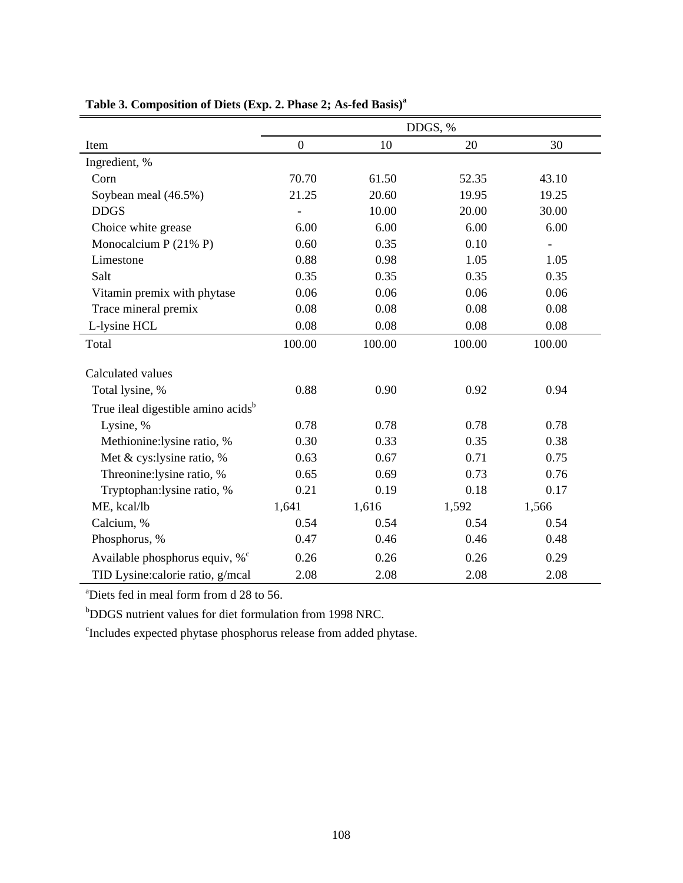|                                                | DDGS, %          |        |        |        |  |  |  |
|------------------------------------------------|------------------|--------|--------|--------|--|--|--|
| Item                                           | $\boldsymbol{0}$ | 10     | 20     | 30     |  |  |  |
| Ingredient, %                                  |                  |        |        |        |  |  |  |
| Corn                                           | 70.70            | 61.50  | 52.35  | 43.10  |  |  |  |
| Soybean meal (46.5%)                           | 21.25            | 20.60  | 19.95  | 19.25  |  |  |  |
| <b>DDGS</b>                                    |                  | 10.00  | 20.00  | 30.00  |  |  |  |
| Choice white grease                            | 6.00             | 6.00   | 6.00   | 6.00   |  |  |  |
| Monocalcium P $(21\% P)$                       | 0.60             | 0.35   | 0.10   |        |  |  |  |
| Limestone                                      | 0.88             | 0.98   | 1.05   | 1.05   |  |  |  |
| Salt                                           | 0.35             | 0.35   | 0.35   | 0.35   |  |  |  |
| Vitamin premix with phytase                    | 0.06             | 0.06   | 0.06   | 0.06   |  |  |  |
| Trace mineral premix                           | 0.08             | 0.08   | 0.08   | 0.08   |  |  |  |
| L-lysine HCL                                   | 0.08             | 0.08   | 0.08   | 0.08   |  |  |  |
| Total                                          | 100.00           | 100.00 | 100.00 | 100.00 |  |  |  |
| Calculated values                              |                  |        |        |        |  |  |  |
| Total lysine, %                                | 0.88             | 0.90   | 0.92   | 0.94   |  |  |  |
| True ileal digestible amino acids <sup>b</sup> |                  |        |        |        |  |  |  |
| Lysine, %                                      | 0.78             | 0.78   | 0.78   | 0.78   |  |  |  |
| Methionine:lysine ratio, %                     | 0.30             | 0.33   | 0.35   | 0.38   |  |  |  |
| Met & cys:lysine ratio, %                      | 0.63             | 0.67   | 0.71   | 0.75   |  |  |  |
| Threonine:lysine ratio, %                      | 0.65             | 0.69   | 0.73   | 0.76   |  |  |  |
| Tryptophan:lysine ratio, %                     | 0.21             | 0.19   | 0.18   | 0.17   |  |  |  |
| ME, kcal/lb                                    | 1,641            | 1,616  | 1,592  | 1,566  |  |  |  |
| Calcium, %                                     | 0.54             | 0.54   | 0.54   | 0.54   |  |  |  |
| Phosphorus, %                                  | 0.47             | 0.46   | 0.46   | 0.48   |  |  |  |
| Available phosphorus equiv, $\%^c$             | 0.26             | 0.26   | 0.26   | 0.29   |  |  |  |
| TID Lysine: calorie ratio, g/mcal              | 2.08             | 2.08   | 2.08   | 2.08   |  |  |  |

a Diets fed in meal form from d 28 to 56.

b DDGS nutrient values for diet formulation from 1998 NRC.

c Includes expected phytase phosphorus release from added phytase.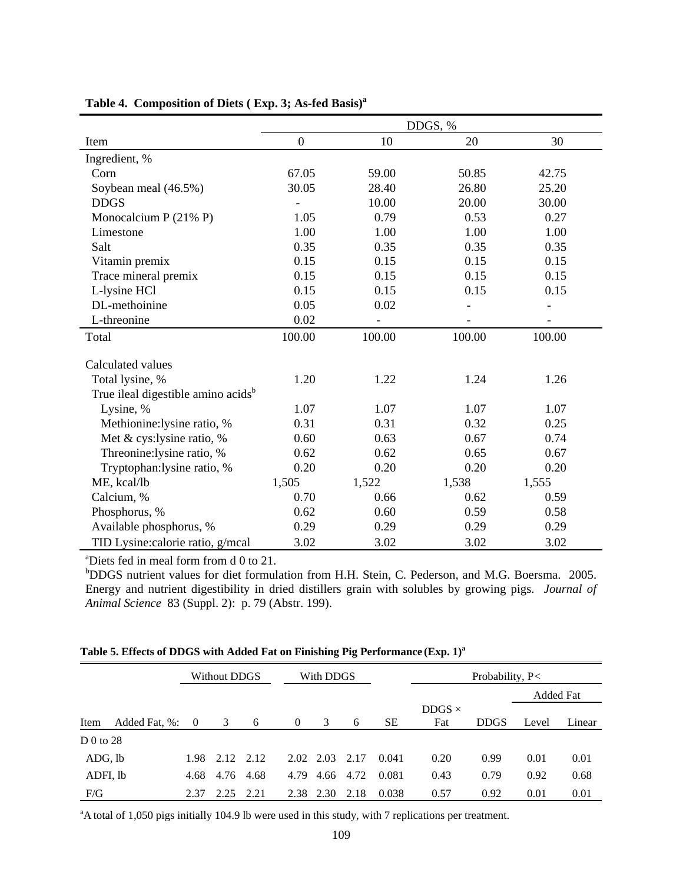|                                                | DDGS, %      |        |        |        |  |  |  |
|------------------------------------------------|--------------|--------|--------|--------|--|--|--|
| Item                                           | $\mathbf{0}$ | 10     | 20     | 30     |  |  |  |
| Ingredient, %                                  |              |        |        |        |  |  |  |
| Corn                                           | 67.05        | 59.00  | 50.85  | 42.75  |  |  |  |
| Soybean meal (46.5%)                           | 30.05        | 28.40  | 26.80  | 25.20  |  |  |  |
| <b>DDGS</b>                                    |              | 10.00  | 20.00  | 30.00  |  |  |  |
| Monocalcium P $(21\%$ P)                       | 1.05         | 0.79   | 0.53   | 0.27   |  |  |  |
| Limestone                                      | 1.00         | 1.00   | 1.00   | 1.00   |  |  |  |
| Salt                                           | 0.35         | 0.35   | 0.35   | 0.35   |  |  |  |
| Vitamin premix                                 | 0.15         | 0.15   | 0.15   | 0.15   |  |  |  |
| Trace mineral premix                           | 0.15         | 0.15   | 0.15   | 0.15   |  |  |  |
| L-lysine HCl                                   | 0.15         | 0.15   | 0.15   | 0.15   |  |  |  |
| DL-methoinine                                  | 0.05         | 0.02   |        |        |  |  |  |
| L-threonine                                    | 0.02         |        |        |        |  |  |  |
| Total                                          | 100.00       | 100.00 | 100.00 | 100.00 |  |  |  |
| Calculated values                              |              |        |        |        |  |  |  |
| Total lysine, %                                | 1.20         | 1.22   | 1.24   | 1.26   |  |  |  |
| True ileal digestible amino acids <sup>b</sup> |              |        |        |        |  |  |  |
| Lysine, %                                      | 1.07         | 1.07   | 1.07   | 1.07   |  |  |  |
| Methionine:lysine ratio, %                     | 0.31         | 0.31   | 0.32   | 0.25   |  |  |  |
| Met & cys:lysine ratio, %                      | 0.60         | 0.63   | 0.67   | 0.74   |  |  |  |
| Threonine:lysine ratio, %                      | 0.62         | 0.62   | 0.65   | 0.67   |  |  |  |
| Tryptophan: lysine ratio, %                    | 0.20         | 0.20   | 0.20   | 0.20   |  |  |  |
| ME, kcal/lb                                    | 1,505        | 1,522  | 1,538  | 1,555  |  |  |  |
| Calcium, %                                     | 0.70         | 0.66   | 0.62   | 0.59   |  |  |  |
| Phosphorus, %                                  | 0.62         | 0.60   | 0.59   | 0.58   |  |  |  |
| Available phosphorus, %                        | 0.29         | 0.29   | 0.29   | 0.29   |  |  |  |
| TID Lysine: calorie ratio, g/mcal              | 3.02         | 3.02   | 3.02   | 3.02   |  |  |  |

### **Table 4. Composition of Diets ( Exp. 3; As-fed Basis)a**

a Diets fed in meal form from d 0 to 21.

b DDGS nutrient values for diet formulation from H.H. Stein, C. Pederson, and M.G. Boersma. 2005. Energy and nutrient digestibility in dried distillers grain with solubles by growing pigs. *Journal of Animal Science* 83 (Suppl. 2): p. 79 (Abstr. 199).

|             |               |          | Without DDGS   |      |          | With DDGS |      |           |               | Probability, P< |           |        |  |
|-------------|---------------|----------|----------------|------|----------|-----------|------|-----------|---------------|-----------------|-----------|--------|--|
|             |               |          |                |      |          |           |      |           |               |                 | Added Fat |        |  |
|             |               |          |                |      |          |           |      |           | DDGS $\times$ |                 |           |        |  |
| Item        | Added Fat, %: | $\bf{0}$ | 3              | 6    | $\left($ | 3         | 6    | <b>SE</b> | Fat           | <b>DDGS</b>     | Level     | Linear |  |
| D $0$ to 28 |               |          |                |      |          |           |      |           |               |                 |           |        |  |
| ADG, lb     |               |          | 1.98 2.12 2.12 |      |          | 2.02 2.03 | 2.17 | 0.041     | 0.20          | 0.99            | 0.01      | 0.01   |  |
| ADFI, lb    |               | 4.68     | 4.76 4.68      |      | 4.79     | 4.66      | 4.72 | 0.081     | 0.43          | 0.79            | 0.92      | 0.68   |  |
| F/G         |               | 2.37     | 2.25           | 2.21 |          | 2.38 2.30 | 2.18 | 0.038     | 0.57          | 0.92            | 0.01      | 0.01   |  |

**Table 5. Effects of DDGS with Added Fat on Finishing Pig Performance (Exp. 1)a**

<sup>a</sup>A total of 1,050 pigs initially 104.9 lb were used in this study, with 7 replications per treatment.